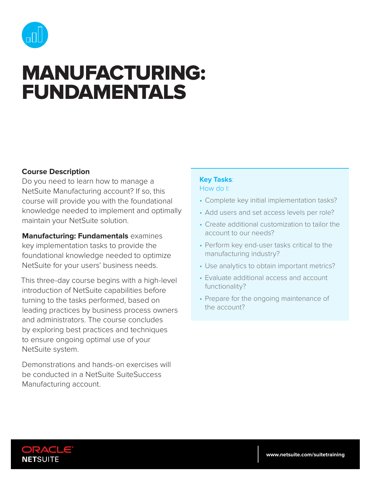

# MANUFACTURING: FUNDAMENTALS

## **Course Description**

Do you need to learn how to manage a NetSuite Manufacturing account? If so, this course will provide you with the foundational knowledge needed to implement and optimally maintain your NetSuite solution.

**Manufacturing: Fundamentals** examines key implementation tasks to provide the foundational knowledge needed to optimize NetSuite for your users' business needs.

This three-day course begins with a high-level introduction of NetSuite capabilities before turning to the tasks performed, based on leading practices by business process owners and administrators. The course concludes by exploring best practices and techniques to ensure ongoing optimal use of your NetSuite system.

Demonstrations and hands-on exercises will be conducted in a NetSuite SuiteSuccess Manufacturing account.

#### **Key Tasks**: How do I:

- Complete key initial implementation tasks?
- Add users and set access levels per role?
- Create additional customization to tailor the account to our needs?
- Perform key end-user tasks critical to the manufacturing industry?
- Use analytics to obtain important metrics?
- Evaluate additional access and account functionality?
- Prepare for the ongoing maintenance of the account?

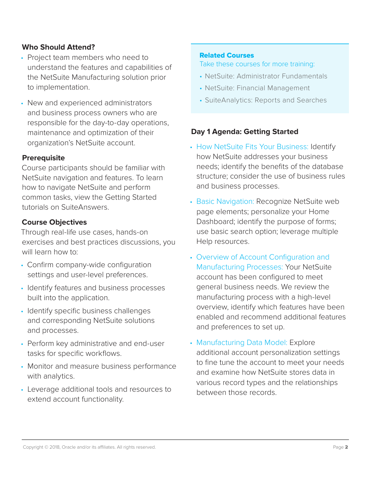## **Who Should Attend?**

- Project team members who need to understand the features and capabilities of the NetSuite Manufacturing solution prior to implementation.
- New and experienced administrators and business process owners who are responsible for the day-to-day operations, maintenance and optimization of their organization's NetSuite account.

#### **Prerequisite**

Course participants should be familiar with NetSuite navigation and features. To learn how to navigate NetSuite and perform common tasks, view the Getting Started tutorials on SuiteAnswers.

## **Course Objectives**

Through real-life use cases, hands-on exercises and best practices discussions, you will learn how to:

- Confirm company-wide configuration settings and user-level preferences.
- Identify features and business processes built into the application.
- Identify specific business challenges and corresponding NetSuite solutions and processes.
- Perform key administrative and end-user tasks for specific workflows.
- Monitor and measure business performance with analytics.
- Leverage additional tools and resources to extend account functionality.

#### Related Courses

Take these courses for more training:

- NetSuite: Administrator Fundamentals
- NetSuite: Financial Management
- SuiteAnalytics: Reports and Searches

## **Day 1 Agenda: Getting Started**

- How NetSuite Fits Your Business: Identify how NetSuite addresses your business needs; identify the benefits of the database structure; consider the use of business rules and business processes.
- Basic Navigation: Recognize NetSuite web page elements; personalize your Home Dashboard; identify the purpose of forms; use basic search option; leverage multiple Help resources.
- Overview of Account Configuration and Manufacturing Processes: Your NetSuite account has been configured to meet general business needs. We review the manufacturing process with a high-level overview, identify which features have been enabled and recommend additional features and preferences to set up.
- Manufacturing Data Model: Explore additional account personalization settings to fine tune the account to meet your needs and examine how NetSuite stores data in various record types and the relationships between those records.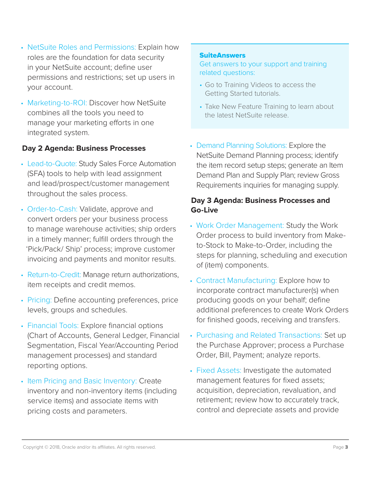- NetSuite Roles and Permissions: Explain how roles are the foundation for data security in your NetSuite account; define user permissions and restrictions; set up users in your account.
- Marketing-to-ROI: Discover how NetSuite combines all the tools you need to manage your marketing efforts in one integrated system.

# **Day 2 Agenda: Business Processes**

- Lead-to-Quote: Study Sales Force Automation (SFA) tools to help with lead assignment and lead/prospect/customer management throughout the sales process.
- Order-to-Cash: Validate, approve and convert orders per your business process to manage warehouse activities; ship orders in a timely manner; fulfill orders through the 'Pick/Pack/ Ship' process; improve customer invoicing and payments and monitor results.
- Return-to-Credit: Manage return authorizations, item receipts and credit memos.
- Pricing: Define accounting preferences, price levels, groups and schedules.
- Financial Tools: Explore financial options (Chart of Accounts, General Ledger, Financial Segmentation, Fiscal Year/Accounting Period management processes) and standard reporting options.
- Item Pricing and Basic Inventory: Create inventory and non-inventory items (including service items) and associate items with pricing costs and parameters.

## **SuiteAnswers**

Get answers to your support and training related questions:

- Go to Training Videos to access the Getting Started tutorials.
- Take New Feature Training to learn about the latest NetSuite release.
- Demand Planning Solutions: Explore the NetSuite Demand Planning process; identify the item record setup steps; generate an Item Demand Plan and Supply Plan; review Gross Requirements inquiries for managing supply.

# **Day 3 Agenda: Business Processes and Go-Live**

- Work Order Management: Study the Work Order process to build inventory from Maketo-Stock to Make-to-Order, including the steps for planning, scheduling and execution of (item) components.
- Contract Manufacturing: Explore how to incorporate contract manufacturer(s) when producing goods on your behalf; define additional preferences to create Work Orders for finished goods, receiving and transfers.
- Purchasing and Related Transactions: Set up the Purchase Approver; process a Purchase Order, Bill, Payment; analyze reports.
- Fixed Assets: Investigate the automated management features for fixed assets; acquisition, depreciation, revaluation, and retirement; review how to accurately track, control and depreciate assets and provide